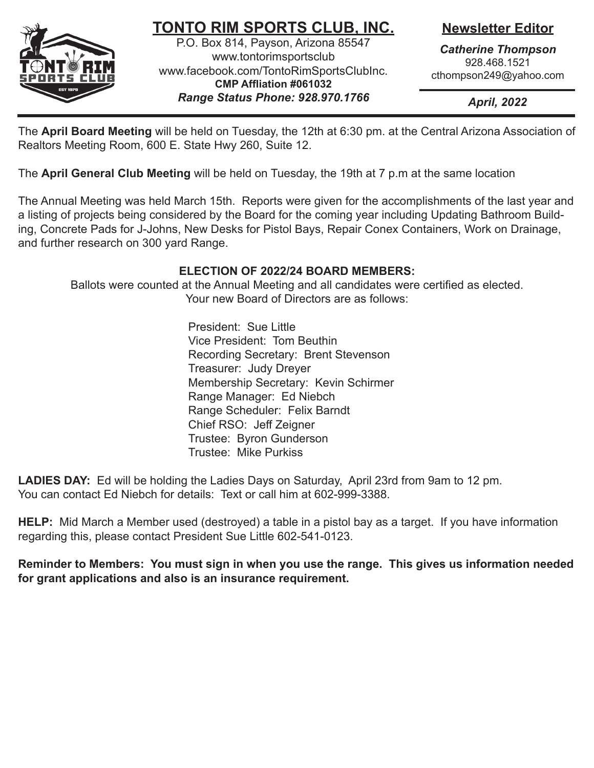

# **TONTO RIM SPORTS CLUB, INC.**

P.O. Box 814, Payson, Arizona 85547 www.tontorimsportsclub www.facebook.com/TontoRimSportsClubInc. **CMP Affliation #061032** *Range Status Phone: 928.970.1766*

**Newsletter Editor**

*Catherine Thompson* 928.468.1521 cthompson249@yahoo.com

*April, 2022*

The **April Board Meeting** will be held on Tuesday, the 12th at 6:30 pm. at the Central Arizona Association of Realtors Meeting Room, 600 E. State Hwy 260, Suite 12.

The **April General Club Meeting** will be held on Tuesday, the 19th at 7 p.m at the same location

The Annual Meeting was held March 15th. Reports were given for the accomplishments of the last year and a listing of projects being considered by the Board for the coming year including Updating Bathroom Building, Concrete Pads for J-Johns, New Desks for Pistol Bays, Repair Conex Containers, Work on Drainage, and further research on 300 yard Range.

## **ELECTION OF 2022/24 BOARD MEMBERS:**

Ballots were counted at the Annual Meeting and all candidates were certified as elected. Your new Board of Directors are as follows:

> President: Sue Little Vice President: Tom Beuthin Recording Secretary: Brent Stevenson Treasurer: Judy Dreyer Membership Secretary: Kevin Schirmer Range Manager: Ed Niebch Range Scheduler: Felix Barndt Chief RSO: Jeff Zeigner Trustee: Byron Gunderson Trustee: Mike Purkiss

**LADIES DAY:** Ed will be holding the Ladies Days on Saturday, April 23rd from 9am to 12 pm. You can contact Ed Niebch for details: Text or call him at 602-999-3388.

**HELP:** Mid March a Member used (destroyed) a table in a pistol bay as a target. If you have information regarding this, please contact President Sue Little 602-541-0123.

**Reminder to Members: You must sign in when you use the range. This gives us information needed for grant applications and also is an insurance requirement.**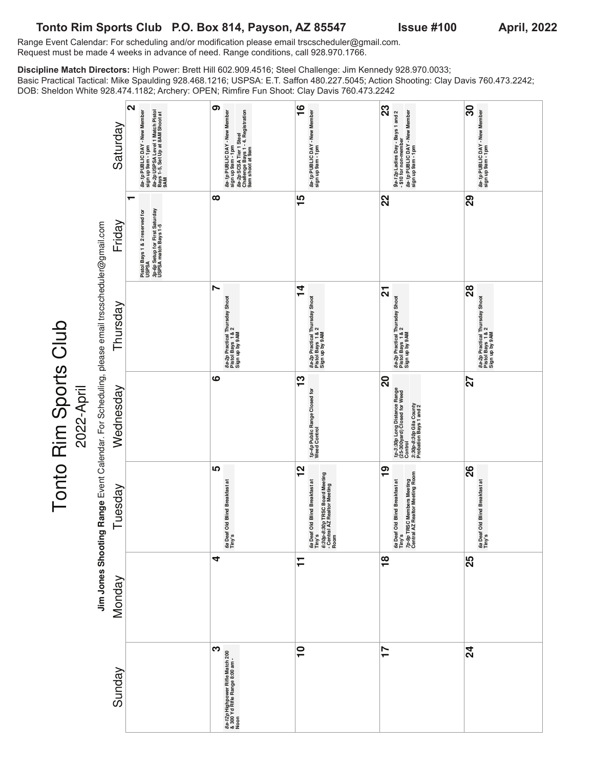### Tonto Rim Sports Club P.O. Box 814, Payson, AZ 85547 Issue #100 April, 2022

Tonto Rim Sports Club

2022-April

Range Event Calendar: For scheduling and/or modification please email trscscheduler@gmail.com. Request must be made 4 weeks in advance of need. Range conditions, call 928.970.1766.

**Discipline Match Directors:** High Power: Brett Hill 602.909.4516; Steel Challenge: Jim Kennedy 928.970.0033; Basic Practical Tactical: Mike Spaulding 928.468.1216; USPSA: E.T. Saffon 480.227.5045; Action Shooting: Clay Davis 760.473.2242; DOB: Sheldon White 928.474.1182; Archery: OPEN; Rimfire Fun Shoot: Clay Davis 760.473.2242

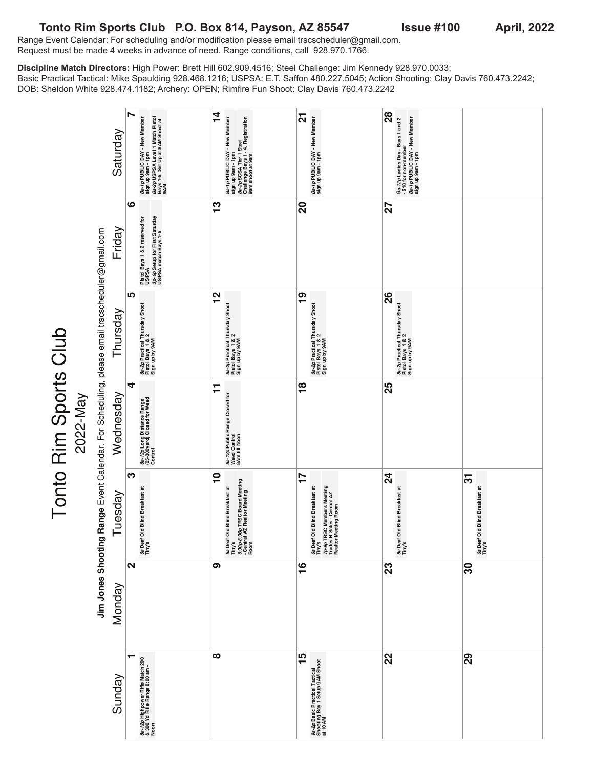### Tonto Rim Sports Club P.O. Box 814, Payson, AZ 85547 Issue #100 April, 2022

Tonto Rim Sports Club

Range Event Calendar: For scheduling and/or modification please email trscscheduler@gmail.com. Request must be made 4 weeks in advance of need. Range conditions, call 928.970.1766.

**Discipline Match Directors:** High Power: Brett Hill 602.909.4516; Steel Challenge: Jim Kennedy 928.970.0033; Basic Practical Tactical: Mike Spaulding 928.468.1216; USPSA: E.T. Saffon 480.227.5045; Action Shooting: Clay Davis 760.473.2242; DOB: Sheldon White 928.474.1182; Archery: OPEN; Rimfire Fun Shoot: Clay Davis 760.473.2242

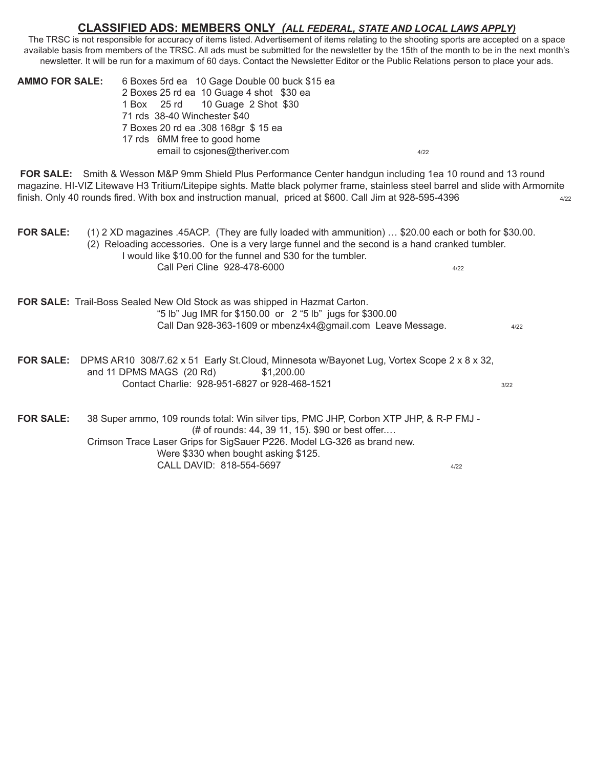#### **CLASSIFIED ADS: MEMBERS ONLY** *(ALL FEDERAL, STATE AND LOCAL LAWS APPLY)*

The TRSC is not responsible for accuracy of items listed. Advertisement of items relating to the shooting sports are accepted on a space available basis from members of the TRSC. All ads must be submitted for the newsletter by the 15th of the month to be in the next month's newsletter. It will be run for a maximum of 60 days. Contact the Newsletter Editor or the Public Relations person to place your ads.

| <b>AMMO FOR SALE:</b> | 6 Boxes 5rd ea 10 Gage Double 00 buck \$15 ea<br>2 Boxes 25 rd ea 10 Guage 4 shot \$30 ea |      |
|-----------------------|-------------------------------------------------------------------------------------------|------|
|                       | 1 Box 25 rd 10 Guage 2 Shot \$30                                                          |      |
|                       | 71 rds 38-40 Winchester \$40                                                              |      |
|                       | 7 Boxes 20 rd ea .308 168gr \$15 ea                                                       |      |
|                       | 17 rds 6MM free to good home                                                              |      |
|                       | email to csjones@theriver.com                                                             | 4/22 |

**FOR SALE:** Smith & Wesson M&P 9mm Shield Plus Performance Center handgun including 1ea 10 round and 13 round magazine. HI-VIZ Litewave H3 Tritium/Litepipe sights. Matte black polymer frame, stainless steel barrel and slide with Armornite finish. Only 40 rounds fired. With box and instruction manual, priced at \$600. Call Jim at 928-595-4396

**FOR SALE:** (1) 2 XD magazines .45ACP. (They are fully loaded with ammunition) … \$20.00 each or both for \$30.00. (2) Reloading accessories. One is a very large funnel and the second is a hand cranked tumbler. I would like \$10.00 for the funnel and \$30 for the tumbler. Call Peri Cline 928-478-6000 4/22

| FOR SALE: Trail-Boss Sealed New Old Stock as was shipped in Hazmat Carton. |      |
|----------------------------------------------------------------------------|------|
| "5 lb" Jug IMR for \$150.00 or 2 "5 lb" jugs for \$300.00                  |      |
| Call Dan 928-363-1609 or mbenz4x4@gmail.com Leave Message.                 | 4/22 |
|                                                                            |      |

**FOR SALE:** DPMS AR10 308/7.62 x 51 Early St.Cloud, Minnesota w/Bayonet Lug, Vortex Scope 2 x 8 x 32, and 11 DPMS MAGS (20 Rd) \$1,200.00 Contact Charlie: 928-951-6827 or 928-468-1521

**FOR SALE:** 38 Super ammo, 109 rounds total: Win silver tips, PMC JHP, Corbon XTP JHP, & R-P FMJ - (# of rounds: 44, 39 11, 15). \$90 or best offer.… Crimson Trace Laser Grips for SigSauer P226. Model LG-326 as brand new. Were \$330 when bought asking \$125. CALL DAVID: 818-554-5697